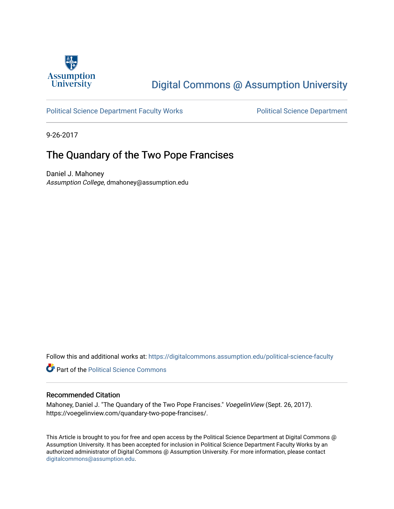

## [Digital Commons @ Assumption University](https://digitalcommons.assumption.edu/)

#### [Political Science Department Faculty Works](https://digitalcommons.assumption.edu/political-science-faculty) **Political Science Department**

9-26-2017

### The Quandary of the Two Pope Francises

Daniel J. Mahoney Assumption College, dmahoney@assumption.edu

Follow this and additional works at: [https://digitalcommons.assumption.edu/political-science-faculty](https://digitalcommons.assumption.edu/political-science-faculty?utm_source=digitalcommons.assumption.edu%2Fpolitical-science-faculty%2F29&utm_medium=PDF&utm_campaign=PDFCoverPages)

**Part of the Political Science Commons** 

#### Recommended Citation

Mahoney, Daniel J. "The Quandary of the Two Pope Francises." VoegelinView (Sept. 26, 2017). https://voegelinview.com/quandary-two-pope-francises/.

This Article is brought to you for free and open access by the Political Science Department at Digital Commons @ Assumption University. It has been accepted for inclusion in Political Science Department Faculty Works by an authorized administrator of Digital Commons @ Assumption University. For more information, please contact [digitalcommons@assumption.edu](mailto:digitalcommons@assumption.edu).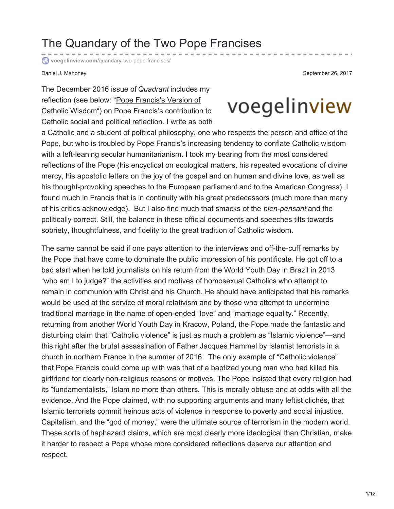# The Quandary of the Two Pope Francises

**voegelinview.com**[/quandary-two-pope-francises/](https://voegelinview.com/quandary-two-pope-francises/)

Daniel J. Mahoney **September 26, 2017** 

voegelinview

The December 2016 issue of *Quadrant* includes my reflection (see below: "Pope Francis's Version of Catholic Wisdom") on Pope Francis's [contribution](https://quadrant.org.au/magazine/2016/12/pope-franciss-version-catholic-wisdom/) to Catholic social and political reflection. I write as both

a Catholic and a student of political philosophy, one who respects the person and office of the Pope, but who is troubled by Pope Francis's increasing tendency to conflate Catholic wisdom with a left-leaning secular humanitarianism. I took my bearing from the most considered reflections of the Pope (his encyclical on ecological matters, his repeated evocations of divine mercy, his apostolic letters on the joy of the gospel and on human and divine love, as well as his thought-provoking speeches to the European parliament and to the American Congress). I found much in Francis that is in continuity with his great predecessors (much more than many of his critics acknowledge). But I also find much that smacks of the *bien-pensant* and the politically correct. Still, the balance in these official documents and speeches tilts towards sobriety, thoughtfulness, and fidelity to the great tradition of Catholic wisdom.

The same cannot be said if one pays attention to the interviews and off-the-cuff remarks by the Pope that have come to dominate the public impression of his pontificate. He got off to a bad start when he told journalists on his return from the World Youth Day in Brazil in 2013 "who am I to judge?" the activities and motives of homosexual Catholics who attempt to remain in communion with Christ and his Church. He should have anticipated that his remarks would be used at the service of moral relativism and by those who attempt to undermine traditional marriage in the name of open-ended "love" and "marriage equality." Recently, returning from another World Youth Day in Kracow, Poland, the Pope made the fantastic and disturbing claim that "Catholic violence" is just as much a problem as "Islamic violence"—and this right after the brutal assassination of Father Jacques Hammel by Islamist terrorists in a church in northern France in the summer of 2016. The only example of "Catholic violence" that Pope Francis could come up with was that of a baptized young man who had killed his girlfriend for clearly non-religious reasons or motives. The Pope insisted that every religion had its "fundamentalists," Islam no more than others. This is morally obtuse and at odds with all the evidence. And the Pope claimed, with no supporting arguments and many leftist clichés, that Islamic terrorists commit heinous acts of violence in response to poverty and social injustice. Capitalism, and the "god of money," were the ultimate source of terrorism in the modern world. These sorts of haphazard claims, which are most clearly more ideological than Christian, make it harder to respect a Pope whose more considered reflections deserve our attention and respect.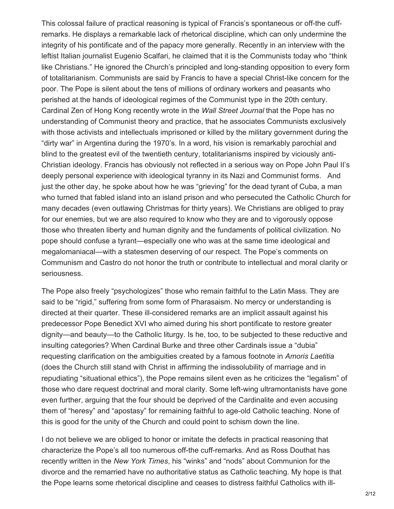This colossal failure of practical reasoning is typical of Francis's spontaneous or off-the cuffremarks. He displays a remarkable lack of rhetorical discipline, which can only undermine the integrity of his pontificate and of the papacy more generally. Recently in an interview with the leftist Italian journalist Eugenio Scalfari, he claimed that it is the Communists today who "think like Christians." He ignored the Church's principled and long-standing opposition to every form of totalitarianism. Communists are said by Francis to have a special Christ-like concern for the poor. The Pope is silent about the tens of millions of ordinary workers and peasants who perished at the hands of ideological regimes of the Communist type in the 20th century. Cardinal Zen of Hong Kong recently wrote in the *Wall Street Journal* that the Pope has no understanding of Communist theory and practice, that he associates Communists exclusively with those activists and intellectuals imprisoned or killed by the military government during the "dirty war" in Argentina during the 1970's. In a word, his vision is remarkably parochial and blind to the greatest evil of the twentieth century, totalitarianisms inspired by viciously anti-Christian ideology. Francis has obviously not reflected in a serious way on Pope John Paul II's deeply personal experience with ideological tyranny in its Nazi and Communist forms. And just the other day, he spoke about how he was "grieving" for the dead tyrant of Cuba, a man who turned that fabled island into an island prison and who persecuted the Catholic Church for many decades (even outlawing Christmas for thirty years). We Christians are obliged to pray for our enemies, but we are also required to know who they are and to vigorously oppose those who threaten liberty and human dignity and the fundaments of political civilization. No pope should confuse a tyrant—especially one who was at the same time ideological and megalomaniacal—with a statesmen deserving of our respect. The Pope's comments on Communism and Castro do not honor the truth or contribute to intellectual and moral clarity or seriousness.

The Pope also freely "psychologizes" those who remain faithful to the Latin Mass. They are said to be "rigid," suffering from some form of Pharasaism. No mercy or understanding is directed at their quarter. These ill-considered remarks are an implicit assault against his predecessor Pope Benedict XVI who aimed during his short pontificate to restore greater dignity—and beauty—to the Catholic liturgy. Is he, too, to be subjected to these reductive and insulting categories? When Cardinal Burke and three other Cardinals issue a "dubia" requesting clarification on the ambiguities created by a famous footnote in *Amoris Laetitia* (does the Church still stand with Christ in affirming the indissolubility of marriage and in repudiating "situational ethics"), the Pope remains silent even as he criticizes the "legalism" of those who dare request doctrinal and moral clarity. Some left-wing ultramontanists have gone even further, arguing that the four should be deprived of the Cardinalite and even accusing them of "heresy" and "apostasy" for remaining faithful to age-old Catholic teaching. None of this is good for the unity of the Church and could point to schism down the line.

I do not believe we are obliged to honor or imitate the defects in practical reasoning that characterize the Pope's all too numerous off-the cuff-remarks. And as Ross Douthat has recently written in the *New York Times*, his "winks" and "nods" about Communion for the divorce and the remarried have no authoritative status as Catholic teaching. My hope is that the Pope learns some rhetorical discipline and ceases to distress faithful Catholics with ill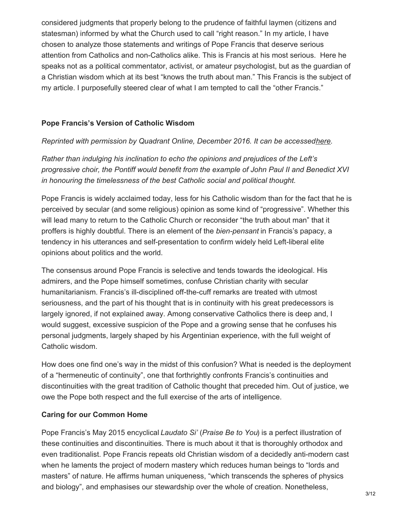considered judgments that properly belong to the prudence of faithful laymen (citizens and statesman) informed by what the Church used to call "right reason." In my article, I have chosen to analyze those statements and writings of Pope Francis that deserve serious attention from Catholics and non-Catholics alike. This is Francis at his most serious. Here he speaks not as a political commentator, activist, or amateur psychologist, but as the guardian of a Christian wisdom which at its best "knows the truth about man." This Francis is the subject of my article. I purposefully steered clear of what I am tempted to call the "other Francis."

#### **Pope Francis's Version of Catholic Wisdom**

#### *Reprinted with permission by Quadrant Online, December 2016. It can be accesse[dhere](https://quadrant.org.au/magazine/2016/12/pope-franciss-version-catholic-wisdom/).*

*Rather than indulging his inclination to echo the opinions and prejudices of the Left's progressive choir, the Pontiff would benefit from the example of John Paul II and Benedict XVI in honouring the timelessness of the best Catholic social and political thought.*

Pope Francis is widely acclaimed today, less for his Catholic wisdom than for the fact that he is perceived by secular (and some religious) opinion as some kind of "progressive". Whether this will lead many to return to the Catholic Church or reconsider "the truth about man" that it proffers is highly doubtful. There is an element of the *bien-pensant* in Francis's papacy, a tendency in his utterances and self-presentation to confirm widely held Left-liberal elite opinions about politics and the world.

The consensus around Pope Francis is selective and tends towards the ideological. His admirers, and the Pope himself sometimes, confuse Christian charity with secular humanitarianism. Francis's ill-disciplined off-the-cuff remarks are treated with utmost seriousness, and the part of his thought that is in continuity with his great predecessors is largely ignored, if not explained away. Among conservative Catholics there is deep and, I would suggest, excessive suspicion of the Pope and a growing sense that he confuses his personal judgments, largely shaped by his Argentinian experience, with the full weight of Catholic wisdom.

How does one find one's way in the midst of this confusion? What is needed is the deployment of a "hermeneutic of continuity", one that forthrightly confronts Francis's continuities and discontinuities with the great tradition of Catholic thought that preceded him. Out of justice, we owe the Pope both respect and the full exercise of the arts of intelligence.

#### **Caring for our Common Home**

Pope Francis's May 2015 encyclical *Laudato Si'* (*Praise Be to You*) is a perfect illustration of these continuities and discontinuities. There is much about it that is thoroughly orthodox and even traditionalist. Pope Francis repeats old Christian wisdom of a decidedly anti-modern cast when he laments the project of modern mastery which reduces human beings to "lords and masters" of nature. He affirms human uniqueness, "which transcends the spheres of physics and biology", and emphasises our stewardship over the whole of creation. Nonetheless,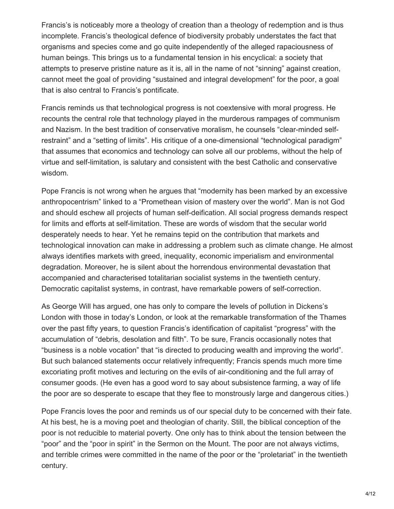Francis's is noticeably more a theology of creation than a theology of redemption and is thus incomplete. Francis's theological defence of biodiversity probably understates the fact that organisms and species come and go quite independently of the alleged rapaciousness of human beings. This brings us to a fundamental tension in his encyclical: a society that attempts to preserve pristine nature as it is, all in the name of not "sinning" against creation, cannot meet the goal of providing "sustained and integral development" for the poor, a goal that is also central to Francis's pontificate.

Francis reminds us that technological progress is not coextensive with moral progress. He recounts the central role that technology played in the murderous rampages of communism and Nazism. In the best tradition of conservative moralism, he counsels "clear-minded selfrestraint" and a "setting of limits". His critique of a one-dimensional "technological paradigm" that assumes that economics and technology can solve all our problems, without the help of virtue and self-limitation, is salutary and consistent with the best Catholic and conservative wisdom.

Pope Francis is not wrong when he argues that "modernity has been marked by an excessive anthropocentrism" linked to a "Promethean vision of mastery over the world". Man is not God and should eschew all projects of human self-deification. All social progress demands respect for limits and efforts at self-limitation. These are words of wisdom that the secular world desperately needs to hear. Yet he remains tepid on the contribution that markets and technological innovation can make in addressing a problem such as climate change. He almost always identifies markets with greed, inequality, economic imperialism and environmental degradation. Moreover, he is silent about the horrendous environmental devastation that accompanied and characterised totalitarian socialist systems in the twentieth century. Democratic capitalist systems, in contrast, have remarkable powers of self-correction.

As George Will has argued, one has only to compare the levels of pollution in Dickens's London with those in today's London, or look at the remarkable transformation of the Thames over the past fifty years, to question Francis's identification of capitalist "progress" with the accumulation of "debris, desolation and filth". To be sure, Francis occasionally notes that "business is a noble vocation" that "is directed to producing wealth and improving the world". But such balanced statements occur relatively infrequently; Francis spends much more time excoriating profit motives and lecturing on the evils of air-conditioning and the full array of consumer goods. (He even has a good word to say about subsistence farming, a way of life the poor are so desperate to escape that they flee to monstrously large and dangerous cities.)

Pope Francis loves the poor and reminds us of our special duty to be concerned with their fate. At his best, he is a moving poet and theologian of charity. Still, the biblical conception of the poor is not reducible to material poverty. One only has to think about the tension between the "poor" and the "poor in spirit" in the Sermon on the Mount. The poor are not always victims, and terrible crimes were committed in the name of the poor or the "proletariat" in the twentieth century.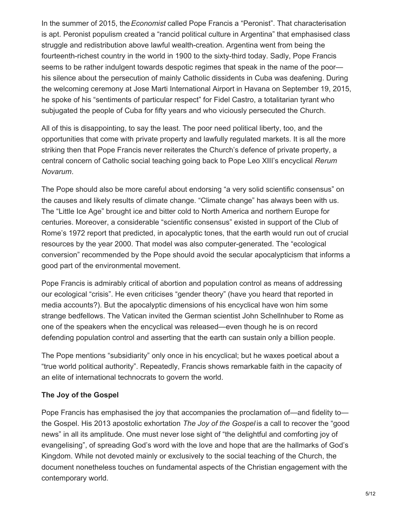In the summer of 2015, the*Economist* called Pope Francis a "Peronist". That characterisation is apt. Peronist populism created a "rancid political culture in Argentina" that emphasised class struggle and redistribution above lawful wealth-creation. Argentina went from being the fourteenth-richest country in the world in 1900 to the sixty-third today. Sadly, Pope Francis seems to be rather indulgent towards despotic regimes that speak in the name of the poor his silence about the persecution of mainly Catholic dissidents in Cuba was deafening. During the welcoming ceremony at Jose Marti International Airport in Havana on September 19, 2015, he spoke of his "sentiments of particular respect" for Fidel Castro, a totalitarian tyrant who subjugated the people of Cuba for fifty years and who viciously persecuted the Church.

All of this is disappointing, to say the least. The poor need political liberty, too, and the opportunities that come with private property and lawfully regulated markets. It is all the more striking then that Pope Francis never reiterates the Church's defence of private property, a central concern of Catholic social teaching going back to Pope Leo XIII's encyclical *Rerum Novarum*.

The Pope should also be more careful about endorsing "a very solid scientific consensus" on the causes and likely results of climate change. "Climate change" has always been with us. The "Little Ice Age" brought ice and bitter cold to North America and northern Europe for centuries. Moreover, a considerable "scientific consensus" existed in support of the Club of Rome's 1972 report that predicted, in apocalyptic tones, that the earth would run out of crucial resources by the year 2000. That model was also computer-generated. The "ecological conversion" recommended by the Pope should avoid the secular apocalypticism that informs a good part of the environmental movement.

Pope Francis is admirably critical of abortion and population control as means of addressing our ecological "crisis". He even criticises "gender theory" (have you heard that reported in media accounts?). But the apocalyptic dimensions of his encyclical have won him some strange bedfellows. The Vatican invited the German scientist John Schellnhuber to Rome as one of the speakers when the encyclical was released—even though he is on record defending population control and asserting that the earth can sustain only a billion people.

The Pope mentions "subsidiarity" only once in his encyclical; but he waxes poetical about a "true world political authority". Repeatedly, Francis shows remarkable faith in the capacity of an elite of international technocrats to govern the world.

#### **The Joy of the Gospel**

Pope Francis has emphasised the joy that accompanies the proclamation of—and fidelity to the Gospel. His 2013 apostolic exhortation *The Joy of the Gospel* is a call to recover the "good news" in all its amplitude. One must never lose sight of "the delightful and comforting joy of evangelising", of spreading God's word with the love and hope that are the hallmarks of God's Kingdom. While not devoted mainly or exclusively to the social teaching of the Church, the document nonetheless touches on fundamental aspects of the Christian engagement with the contemporary world.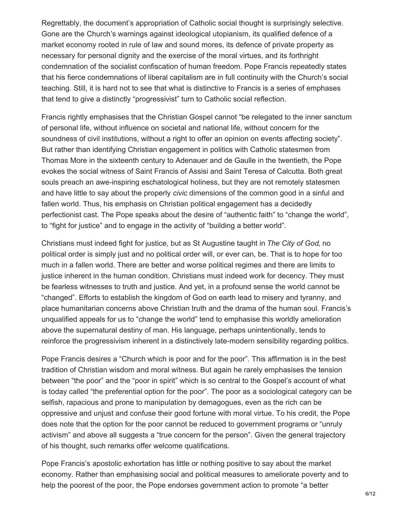Regrettably, the document's appropriation of Catholic social thought is surprisingly selective. Gone are the Church's warnings against ideological utopianism, its qualified defence of a market economy rooted in rule of law and sound mores, its defence of private property as necessary for personal dignity and the exercise of the moral virtues, and its forthright condemnation of the socialist confiscation of human freedom. Pope Francis repeatedly states that his fierce condemnations of liberal capitalism are in full continuity with the Church's social teaching. Still, it is hard not to see that what is distinctive to Francis is a series of emphases that tend to give a distinctly "progressivist" turn to Catholic social reflection.

Francis rightly emphasises that the Christian Gospel cannot "be relegated to the inner sanctum of personal life, without influence on societal and national life, without concern for the soundness of civil institutions, without a right to offer an opinion on events affecting society". But rather than identifying Christian engagement in politics with Catholic statesmen from Thomas More in the sixteenth century to Adenauer and de Gaulle in the twentieth, the Pope evokes the social witness of Saint Francis of Assisi and Saint Teresa of Calcutta. Both great souls preach an awe-inspiring eschatological holiness, but they are not remotely statesmen and have little to say about the properly *civic* dimensions of the common good in a sinful and fallen world. Thus, his emphasis on Christian political engagement has a decidedly perfectionist cast. The Pope speaks about the desire of "authentic faith" to "change the world", to "fight for justice" and to engage in the activity of "building a better world".

Christians must indeed fight for justice, but as St Augustine taught in *The City of God*, no political order is simply just and no political order will, or ever can, be. That is to hope for too much in a fallen world. There are better and worse political regimes and there are limits to justice inherent in the human condition. Christians must indeed work for decency. They must be fearless witnesses to truth and justice. And yet, in a profound sense the world cannot be "changed". Efforts to establish the kingdom of God on earth lead to misery and tyranny, and place humanitarian concerns above Christian truth and the drama of the human soul. Francis's unqualified appeals for us to "change the world" tend to emphasise this worldly amelioration above the supernatural destiny of man. His language, perhaps unintentionally, tends to reinforce the progressivism inherent in a distinctively late-modern sensibility regarding politics.

Pope Francis desires a "Church which is poor and for the poor". This affirmation is in the best tradition of Christian wisdom and moral witness. But again he rarely emphasises the tension between "the poor" and the "poor in spirit" which is so central to the Gospel's account of what is today called "the preferential option for the poor". The poor as a sociological category can be selfish, rapacious and prone to manipulation by demagogues, even as the rich can be oppressive and unjust and confuse their good fortune with moral virtue. To his credit, the Pope does note that the option for the poor cannot be reduced to government programs or "unruly activism" and above all suggests a "true concern for the person". Given the general trajectory of his thought, such remarks offer welcome qualifications.

Pope Francis's apostolic exhortation has little or nothing positive to say about the market economy. Rather than emphasising social and political measures to ameliorate poverty and to help the poorest of the poor, the Pope endorses government action to promote "a better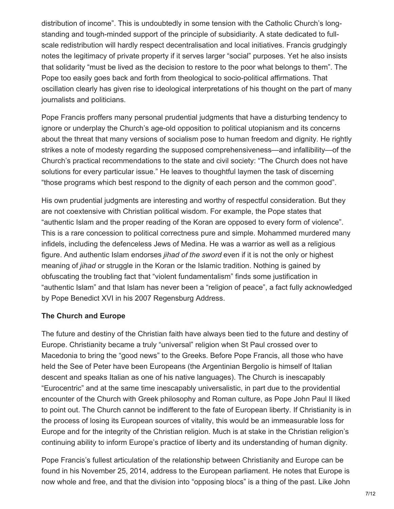distribution of income". This is undoubtedly in some tension with the Catholic Church's longstanding and tough-minded support of the principle of subsidiarity. A state dedicated to fullscale redistribution will hardly respect decentralisation and local initiatives. Francis grudgingly notes the legitimacy of private property if it serves larger "social" purposes. Yet he also insists that solidarity "must be lived as the decision to restore to the poor what belongs to them". The Pope too easily goes back and forth from theological to socio-political affirmations. That oscillation clearly has given rise to ideological interpretations of his thought on the part of many journalists and politicians.

Pope Francis proffers many personal prudential judgments that have a disturbing tendency to ignore or underplay the Church's age-old opposition to political utopianism and its concerns about the threat that many versions of socialism pose to human freedom and dignity. He rightly strikes a note of modesty regarding the supposed comprehensiveness—and infallibility—of the Church's practical recommendations to the state and civil society: "The Church does not have solutions for every particular issue." He leaves to thoughtful laymen the task of discerning "those programs which best respond to the dignity of each person and the common good".

His own prudential judgments are interesting and worthy of respectful consideration. But they are not coextensive with Christian political wisdom. For example, the Pope states that "authentic Islam and the proper reading of the Koran are opposed to every form of violence". This is a rare concession to political correctness pure and simple. Mohammed murdered many infidels, including the defenceless Jews of Medina. He was a warrior as well as a religious figure. And authentic Islam endorses *jihad of the sword* even if it is not the only or highest meaning of *jihad* or struggle in the Koran or the Islamic tradition. Nothing is gained by obfuscating the troubling fact that "violent fundamentalism" finds some justification in "authentic Islam" and that Islam has never been a "religion of peace", a fact fully acknowledged by Pope Benedict XVI in his 2007 Regensburg Address.

#### **The Church and Europe**

The future and destiny of the Christian faith have always been tied to the future and destiny of Europe. Christianity became a truly "universal" religion when St Paul crossed over to Macedonia to bring the "good news" to the Greeks. Before Pope Francis, all those who have held the See of Peter have been Europeans (the Argentinian Bergolio is himself of Italian descent and speaks Italian as one of his native languages). The Church is inescapably "Eurocentric" and at the same time inescapably universalistic, in part due to the providential encounter of the Church with Greek philosophy and Roman culture, as Pope John Paul II liked to point out. The Church cannot be indifferent to the fate of European liberty. If Christianity is in the process of losing its European sources of vitality, this would be an immeasurable loss for Europe and for the integrity of the Christian religion. Much is at stake in the Christian religion's continuing ability to inform Europe's practice of liberty and its understanding of human dignity.

Pope Francis's fullest articulation of the relationship between Christianity and Europe can be found in his November 25, 2014, address to the European parliament. He notes that Europe is now whole and free, and that the division into "opposing blocs" is a thing of the past. Like John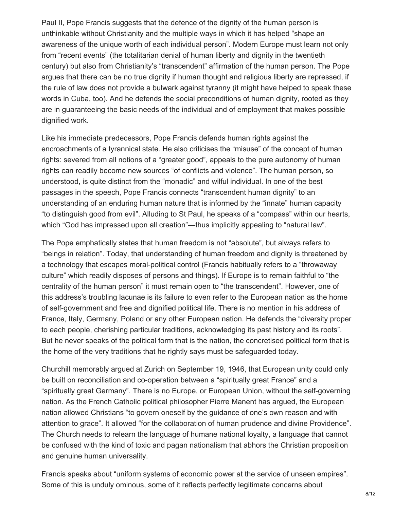Paul II, Pope Francis suggests that the defence of the dignity of the human person is unthinkable without Christianity and the multiple ways in which it has helped "shape an awareness of the unique worth of each individual person". Modern Europe must learn not only from "recent events" (the totalitarian denial of human liberty and dignity in the twentieth century) but also from Christianity's "transcendent" affirmation of the human person. The Pope argues that there can be no true dignity if human thought and religious liberty are repressed, if the rule of law does not provide a bulwark against tyranny (it might have helped to speak these words in Cuba, too). And he defends the social preconditions of human dignity, rooted as they are in guaranteeing the basic needs of the individual and of employment that makes possible dignified work.

Like his immediate predecessors, Pope Francis defends human rights against the encroachments of a tyrannical state. He also criticises the "misuse" of the concept of human rights: severed from all notions of a "greater good", appeals to the pure autonomy of human rights can readily become new sources "of conflicts and violence". The human person, so understood, is quite distinct from the "monadic" and wilful individual. In one of the best passages in the speech, Pope Francis connects "transcendent human dignity" to an understanding of an enduring human nature that is informed by the "innate" human capacity "to distinguish good from evil". Alluding to St Paul, he speaks of a "compass" within our hearts, which "God has impressed upon all creation"—thus implicitly appealing to "natural law".

The Pope emphatically states that human freedom is not "absolute", but always refers to "beings in relation". Today, that understanding of human freedom and dignity is threatened by a technology that escapes moral-political control (Francis habitually refers to a "throwaway culture" which readily disposes of persons and things). If Europe is to remain faithful to "the centrality of the human person" it must remain open to "the transcendent". However, one of this address's troubling lacunae is its failure to even refer to the European nation as the home of self-government and free and dignified political life. There is no mention in his address of France, Italy, Germany, Poland or any other European nation. He defends the "diversity proper to each people, cherishing particular traditions, acknowledging its past history and its roots". But he never speaks of the political form that is the nation, the concretised political form that is the home of the very traditions that he rightly says must be safeguarded today.

Churchill memorably argued at Zurich on September 19, 1946, that European unity could only be built on reconciliation and co-operation between a "spiritually great France" and a "spiritually great Germany". There is no Europe, or European Union, without the self-governing nation. As the French Catholic political philosopher Pierre Manent has argued, the European nation allowed Christians "to govern oneself by the guidance of one's own reason and with attention to grace". It allowed "for the collaboration of human prudence and divine Providence". The Church needs to relearn the language of humane national loyalty, a language that cannot be confused with the kind of toxic and pagan nationalism that abhors the Christian proposition and genuine human universality.

Francis speaks about "uniform systems of economic power at the service of unseen empires". Some of this is unduly ominous, some of it reflects perfectly legitimate concerns about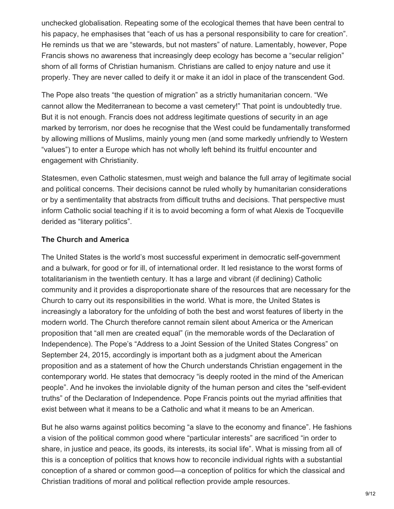unchecked globalisation. Repeating some of the ecological themes that have been central to his papacy, he emphasises that "each of us has a personal responsibility to care for creation". He reminds us that we are "stewards, but not masters" of nature. Lamentably, however, Pope Francis shows no awareness that increasingly deep ecology has become a "secular religion" shorn of all forms of Christian humanism. Christians are called to enjoy nature and use it properly. They are never called to deify it or make it an idol in place of the transcendent God.

The Pope also treats "the question of migration" as a strictly humanitarian concern. "We cannot allow the Mediterranean to become a vast cemetery!" That point is undoubtedly true. But it is not enough. Francis does not address legitimate questions of security in an age marked by terrorism, nor does he recognise that the West could be fundamentally transformed by allowing millions of Muslims, mainly young men (and some markedly unfriendly to Western "values") to enter a Europe which has not wholly left behind its fruitful encounter and engagement with Christianity.

Statesmen, even Catholic statesmen, must weigh and balance the full array of legitimate social and political concerns. Their decisions cannot be ruled wholly by humanitarian considerations or by a sentimentality that abstracts from difficult truths and decisions. That perspective must inform Catholic social teaching if it is to avoid becoming a form of what Alexis de Tocqueville derided as "literary politics".

#### **The Church and America**

The United States is the world's most successful experiment in democratic self-government and a bulwark, for good or for ill, of international order. It led resistance to the worst forms of totalitarianism in the twentieth century. It has a large and vibrant (if declining) Catholic community and it provides a disproportionate share of the resources that are necessary for the Church to carry out its responsibilities in the world. What is more, the United States is increasingly a laboratory for the unfolding of both the best and worst features of liberty in the modern world. The Church therefore cannot remain silent about America or the American proposition that "all men are created equal" (in the memorable words of the Declaration of Independence). The Pope's "Address to a Joint Session of the United States Congress" on September 24, 2015, accordingly is important both as a judgment about the American proposition and as a statement of how the Church understands Christian engagement in the contemporary world. He states that democracy "is deeply rooted in the mind of the American people". And he invokes the inviolable dignity of the human person and cites the "self-evident truths" of the Declaration of Independence. Pope Francis points out the myriad affinities that exist between what it means to be a Catholic and what it means to be an American.

But he also warns against politics becoming "a slave to the economy and finance". He fashions a vision of the political common good where "particular interests" are sacrificed "in order to share, in justice and peace, its goods, its interests, its social life". What is missing from all of this is a conception of politics that knows how to reconcile individual rights with a substantial conception of a shared or common good—a conception of politics for which the classical and Christian traditions of moral and political reflection provide ample resources.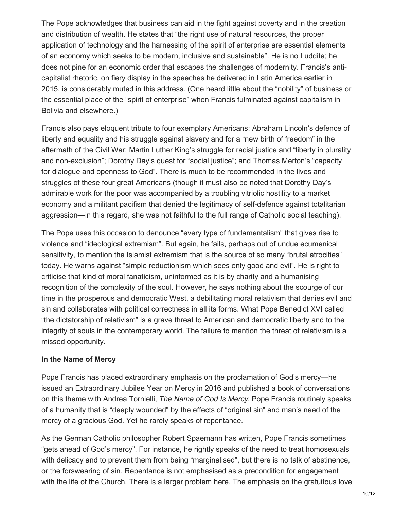The Pope acknowledges that business can aid in the fight against poverty and in the creation and distribution of wealth. He states that "the right use of natural resources, the proper application of technology and the harnessing of the spirit of enterprise are essential elements of an economy which seeks to be modern, inclusive and sustainable". He is no Luddite; he does not pine for an economic order that escapes the challenges of modernity. Francis's anticapitalist rhetoric, on fiery display in the speeches he delivered in Latin America earlier in 2015, is considerably muted in this address. (One heard little about the "nobility" of business or the essential place of the "spirit of enterprise" when Francis fulminated against capitalism in Bolivia and elsewhere.)

Francis also pays eloquent tribute to four exemplary Americans: Abraham Lincoln's defence of liberty and equality and his struggle against slavery and for a "new birth of freedom" in the aftermath of the Civil War; Martin Luther King's struggle for racial justice and "liberty in plurality and non-exclusion"; Dorothy Day's quest for "social justice"; and Thomas Merton's "capacity for dialogue and openness to God". There is much to be recommended in the lives and struggles of these four great Americans (though it must also be noted that Dorothy Day's admirable work for the poor was accompanied by a troubling vitriolic hostility to a market economy and a militant pacifism that denied the legitimacy of self-defence against totalitarian aggression—in this regard, she was not faithful to the full range of Catholic social teaching).

The Pope uses this occasion to denounce "every type of fundamentalism" that gives rise to violence and "ideological extremism". But again, he fails, perhaps out of undue ecumenical sensitivity, to mention the Islamist extremism that is the source of so many "brutal atrocities" today. He warns against "simple reductionism which sees only good and evil". He is right to criticise that kind of moral fanaticism, uninformed as it is by charity and a humanising recognition of the complexity of the soul. However, he says nothing about the scourge of our time in the prosperous and democratic West, a debilitating moral relativism that denies evil and sin and collaborates with political correctness in all its forms. What Pope Benedict XVI called "the dictatorship of relativism" is a grave threat to American and democratic liberty and to the integrity of souls in the contemporary world. The failure to mention the threat of relativism is a missed opportunity.

#### **In the Name of Mercy**

Pope Francis has placed extraordinary emphasis on the proclamation of God's mercy—he issued an Extraordinary Jubilee Year on Mercy in 2016 and published a book of conversations on this theme with Andrea Tornielli, *The Name of God Is Mercy*. Pope Francis routinely speaks of a humanity that is "deeply wounded" by the effects of "original sin" and man's need of the mercy of a gracious God. Yet he rarely speaks of repentance.

As the German Catholic philosopher Robert Spaemann has written, Pope Francis sometimes "gets ahead of God's mercy". For instance, he rightly speaks of the need to treat homosexuals with delicacy and to prevent them from being "marginalised", but there is no talk of abstinence, or the forswearing of sin. Repentance is not emphasised as a precondition for engagement with the life of the Church. There is a larger problem here. The emphasis on the gratuitous love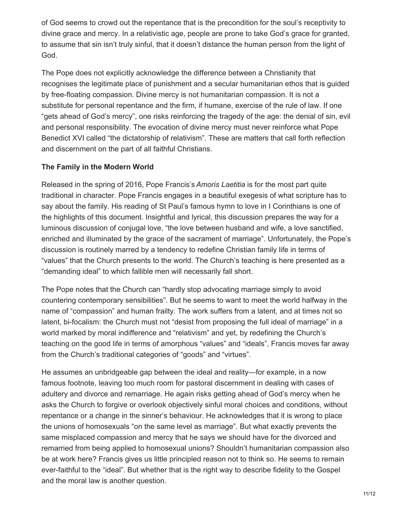of God seems to crowd out the repentance that is the precondition for the soul's receptivity to divine grace and mercy. In a relativistic age, people are prone to take God's grace for granted, to assume that sin isn't truly sinful, that it doesn't distance the human person from the light of God.

The Pope does not explicitly acknowledge the difference between a Christianity that recognises the legitimate place of punishment and a secular humanitarian ethos that is guided by free-floating compassion. Divine mercy is not humanitarian compassion. It is not a substitute for personal repentance and the firm, if humane, exercise of the rule of law. If one "gets ahead of God's mercy", one risks reinforcing the tragedy of the age: the denial of sin, evil and personal responsibility. The evocation of divine mercy must never reinforce what Pope Benedict XVI called "the dictatorship of relativism". These are matters that call forth reflection and discernment on the part of all faithful Christians.

#### **The Family in the Modern World**

Released in the spring of 2016, Pope Francis's *Amoris Laetitia* is for the most part quite traditional in character. Pope Francis engages in a beautiful exegesis of what scripture has to say about the family. His reading of St Paul's famous hymn to love in I Corinthians is one of the highlights of this document. Insightful and lyrical, this discussion prepares the way for a luminous discussion of conjugal love, "the love between husband and wife, a love sanctified, enriched and illuminated by the grace of the sacrament of marriage". Unfortunately, the Pope's discussion is routinely marred by a tendency to redefine Christian family life in terms of "values" that the Church presents to the world. The Church's teaching is here presented as a "demanding ideal" to which fallible men will necessarily fall short.

The Pope notes that the Church can "hardly stop advocating marriage simply to avoid countering contemporary sensibilities". But he seems to want to meet the world halfway in the name of "compassion" and human frailty. The work suffers from a latent, and at times not so latent, bi-focalism: the Church must not "desist from proposing the full ideal of marriage" in a world marked by moral indifference and "relativism" and yet, by redefining the Church's teaching on the good life in terms of amorphous "values" and "ideals", Francis moves far away from the Church's traditional categories of "goods" and "virtues".

He assumes an unbridgeable gap between the ideal and reality—for example, in a now famous footnote, leaving too much room for pastoral discernment in dealing with cases of adultery and divorce and remarriage. He again risks getting ahead of God's mercy when he asks the Church to forgive or overlook objectively sinful moral choices and conditions, without repentance or a change in the sinner's behaviour. He acknowledges that it is wrong to place the unions of homosexuals "on the same level as marriage". But what exactly prevents the same misplaced compassion and mercy that he says we should have for the divorced and remarried from being applied to homosexual unions? Shouldn't humanitarian compassion also be at work here? Francis gives us little principled reason not to think so. He seems to remain ever-faithful to the "ideal". But whether that is the right way to describe fidelity to the Gospel and the moral law is another question.